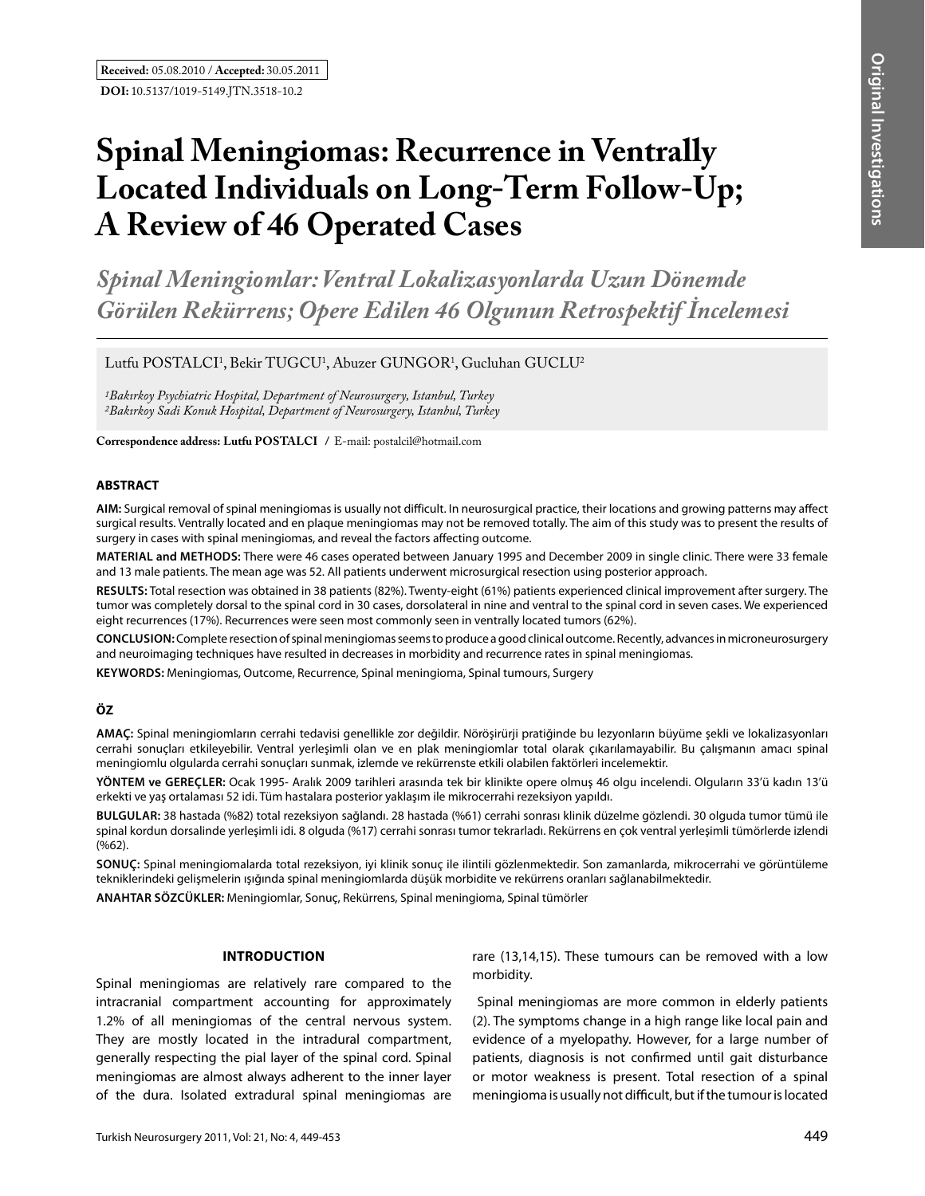# **Spinal Meningiomas: Recurrence in Ventrally Located Individuals on Long-Term Follow-Up; A Review of 46 Operated Cases**

*Spinal Meningiomlar: Ventral Lokalizasyonlarda Uzun Dönemde Görülen Rekürrens; Opere Edilen 46 Olgunun Retrospektif İncelemesi* 

Lutfu POSTALCI<sup>1</sup>, Bekir TUGCU<sup>1</sup>, Abuzer GUNGOR<sup>1</sup>, Gucluhan GUCLU<sup>2</sup>

*1Bakırkoy Psychiatric Hospital, Department of Neurosurgery, Istanbul, Turkey 2Bakırkoy Sadi Konuk Hospital, Department of Neurosurgery, Istanbul, Turkey*

**Correspondence address: Lutfu Postalcı /** E-mail: postalcil@hotmail.com

#### **ABSTRACT**

**AIm:** Surgical removal of spinal meningiomas is usually not difficult. In neurosurgical practice, their locations and growing patterns may affect surgical results. Ventrally located and en plaque meningiomas may not be removed totally. The aim of this study was to present the results of surgery in cases with spinal meningiomas, and reveal the factors affecting outcome.

**MaterIal and Methods:** There were 46 cases operated between January 1995 and December 2009 in single clinic. There were 33 female and 13 male patients. The mean age was 52. All patients underwent microsurgical resection using posterior approach.

**Results:** Total resection was obtained in 38 patients (82%). Twenty-eight (61%) patients experienced clinical improvement after surgery. The tumor was completely dorsal to the spinal cord in 30 cases, dorsolateral in nine and ventral to the spinal cord in seven cases. We experienced eight recurrences (17%). Recurrences were seen most commonly seen in ventrally located tumors (62%).

**ConclusIon:** Complete resection of spinal meningiomas seems to produce a good clinical outcome. Recently, advances in microneurosurgery and neuroimaging techniques have resulted in decreases in morbidity and recurrence rates in spinal meningiomas.

**Keywords:** Meningiomas, Outcome, Recurrence, Spinal meningioma, Spinal tumours, Surgery

# **ÖZ**

**AMAÇ:** Spinal meningiomların cerrahi tedavisi genellikle zor değildir. Nöröşirürji pratiğinde bu lezyonların büyüme şekli ve lokalizasyonları cerrahi sonuçları etkileyebilir. Ventral yerleşimli olan ve en plak meningiomlar total olarak çıkarılamayabilir. Bu çalışmanın amacı spinal meningiomlu olgularda cerrahi sonuçları sunmak, izlemde ve rekürrenste etkili olabilen faktörleri incelemektir.

**YÖNTEM ve GEREÇLER:** Ocak 1995- Aralık 2009 tarihleri arasında tek bir klinikte opere olmuş 46 olgu incelendi. Olguların 33'ü kadın 13'ü erkekti ve yaş ortalaması 52 idi. Tüm hastalara posterior yaklaşım ile mikrocerrahi rezeksiyon yapıldı.

**BULGULAR:** 38 hastada (%82) total rezeksiyon sağlandı. 28 hastada (%61) cerrahi sonrası klinik düzelme gözlendi. 30 olguda tumor tümü ile spinal kordun dorsalinde yerleşimli idi. 8 olguda (%17) cerrahi sonrası tumor tekrarladı. Rekürrens en çok ventral yerleşimli tümörlerde izlendi (%62).

**SONUÇ:** Spinal meningiomalarda total rezeksiyon, iyi klinik sonuç ile ilintili gözlenmektedir. Son zamanlarda, mikrocerrahi ve görüntüleme tekniklerindeki gelişmelerin ışığında spinal meningiomlarda düşük morbidite ve rekürrens oranları sağlanabilmektedir.

**ANAHTAR SÖZCÜKLER:** Meningiomlar, Sonuç, Rekürrens, Spinal meningioma, Spinal tümörler

#### **Introductıon**

Spinal meningiomas are relatively rare compared to the intracranial compartment accounting for approximately 1.2% of all meningiomas of the central nervous system. They are mostly located in the intradural compartment, generally respecting the pial layer of the spinal cord. Spinal meningiomas are almost always adherent to the inner layer of the dura. Isolated extradural spinal meningiomas are rare (13,14,15). These tumours can be removed with a low morbidity.

 Spinal meningiomas are more common in elderly patients (2). The symptoms change in a high range like local pain and evidence of a myelopathy. However, for a large number of patients, diagnosis is not confirmed until gait disturbance or motor weakness is present. Total resection of a spinal meningioma is usually not difficult, but if the tumour is located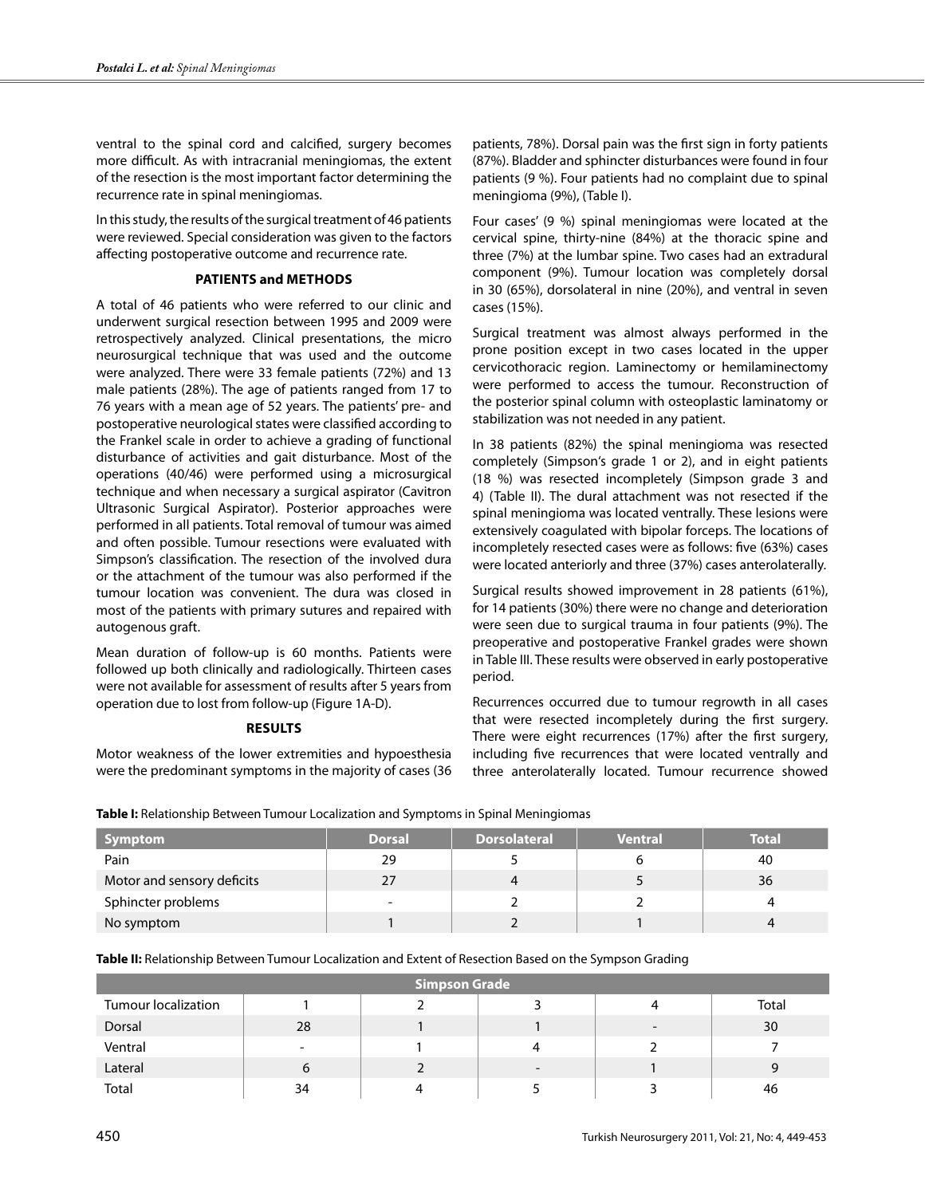ventral to the spinal cord and calcified, surgery becomes more difficult. As with intracranial meningiomas, the extent of the resection is the most important factor determining the recurrence rate in spinal meningiomas.

In this study, the results of the surgical treatment of 46 patients were reviewed. Special consideration was given to the factors affecting postoperative outcome and recurrence rate.

# **Patients and Methods**

A total of 46 patients who were referred to our clinic and underwent surgical resection between 1995 and 2009 were retrospectively analyzed. Clinical presentations, the micro neurosurgical technique that was used and the outcome were analyzed. There were 33 female patients (72%) and 13 male patients (28%). The age of patients ranged from 17 to 76 years with a mean age of 52 years. The patients' pre- and postoperative neurological states were classified according to the Frankel scale in order to achieve a grading of functional disturbance of activities and gait disturbance. Most of the operations (40/46) were performed using a microsurgical technique and when necessary a surgical aspirator (Cavitron Ultrasonic Surgical Aspirator). Posterior approaches were performed in all patients. Total removal of tumour was aimed and often possible. Tumour resections were evaluated with Simpson's classification. The resection of the involved dura or the attachment of the tumour was also performed if the tumour location was convenient. The dura was closed in most of the patients with primary sutures and repaired with autogenous graft.

Mean duration of follow-up is 60 months. Patients were followed up both clinically and radiologically. Thirteen cases were not available for assessment of results after 5 years from operation due to lost from follow-up (Figure 1A-D).

# **Results**

Motor weakness of the lower extremities and hypoesthesia were the predominant symptoms in the majority of cases (36 patients, 78%). Dorsal pain was the first sign in forty patients (87%). Bladder and sphincter disturbances were found in four patients (9 %). Four patients had no complaint due to spinal meningioma (9%), (Table I).

Four cases' (9 %) spinal meningiomas were located at the cervical spine, thirty-nine (84%) at the thoracic spine and three (7%) at the lumbar spine. Two cases had an extradural component (9%). Tumour location was completely dorsal in 30 (65%), dorsolateral in nine (20%), and ventral in seven cases (15%).

Surgical treatment was almost always performed in the prone position except in two cases located in the upper cervicothoracic region. Laminectomy or hemilaminectomy were performed to access the tumour. Reconstruction of the posterior spinal column with osteoplastic laminatomy or stabilization was not needed in any patient.

In 38 patients (82%) the spinal meningioma was resected completely (Simpson's grade 1 or 2), and in eight patients (18 %) was resected incompletely (Simpson grade 3 and 4) (Table II). The dural attachment was not resected if the spinal meningioma was located ventrally. These lesions were extensively coagulated with bipolar forceps. The locations of incompletely resected cases were as follows: five (63%) cases were located anteriorly and three (37%) cases anterolaterally.

Surgical results showed improvement in 28 patients (61%), for 14 patients (30%) there were no change and deterioration were seen due to surgical trauma in four patients (9%). The preoperative and postoperative Frankel grades were shown in Table III. These results were observed in early postoperative period.

Recurrences occurred due to tumour regrowth in all cases that were resected incompletely during the first surgery. There were eight recurrences (17%) after the first surgery, including five recurrences that were located ventrally and three anterolaterally located. Tumour recurrence showed

| Symptom                    | <b>Dorsal</b>            | <b>Dorsolateral</b> | <b>Ventral</b> | <b>Total</b> |
|----------------------------|--------------------------|---------------------|----------------|--------------|
| Pain                       | 29                       |                     |                | 40           |
| Motor and sensory deficits | 27                       | 4                   |                | 36           |
| Sphincter problems         | $\overline{\phantom{0}}$ |                     |                |              |
| No symptom                 |                          |                     |                |              |

**Table I:** Relationship Between Tumour Localization and Symptoms in Spinal Meningiomas

**Table II:** Relationship Between Tumour Localization and Extent of Resection Based on the Sympson Grading

| <b>Simpson Grade</b>       |    |  |                          |                          |       |  |  |  |
|----------------------------|----|--|--------------------------|--------------------------|-------|--|--|--|
| <b>Tumour localization</b> |    |  |                          |                          | Total |  |  |  |
| Dorsal                     | 28 |  |                          | $\overline{\phantom{0}}$ | 30    |  |  |  |
| Ventral                    | -  |  | Δ                        |                          |       |  |  |  |
| Lateral                    | 6  |  | $\overline{\phantom{0}}$ |                          | C     |  |  |  |
| Total                      | 34 |  |                          |                          | 46    |  |  |  |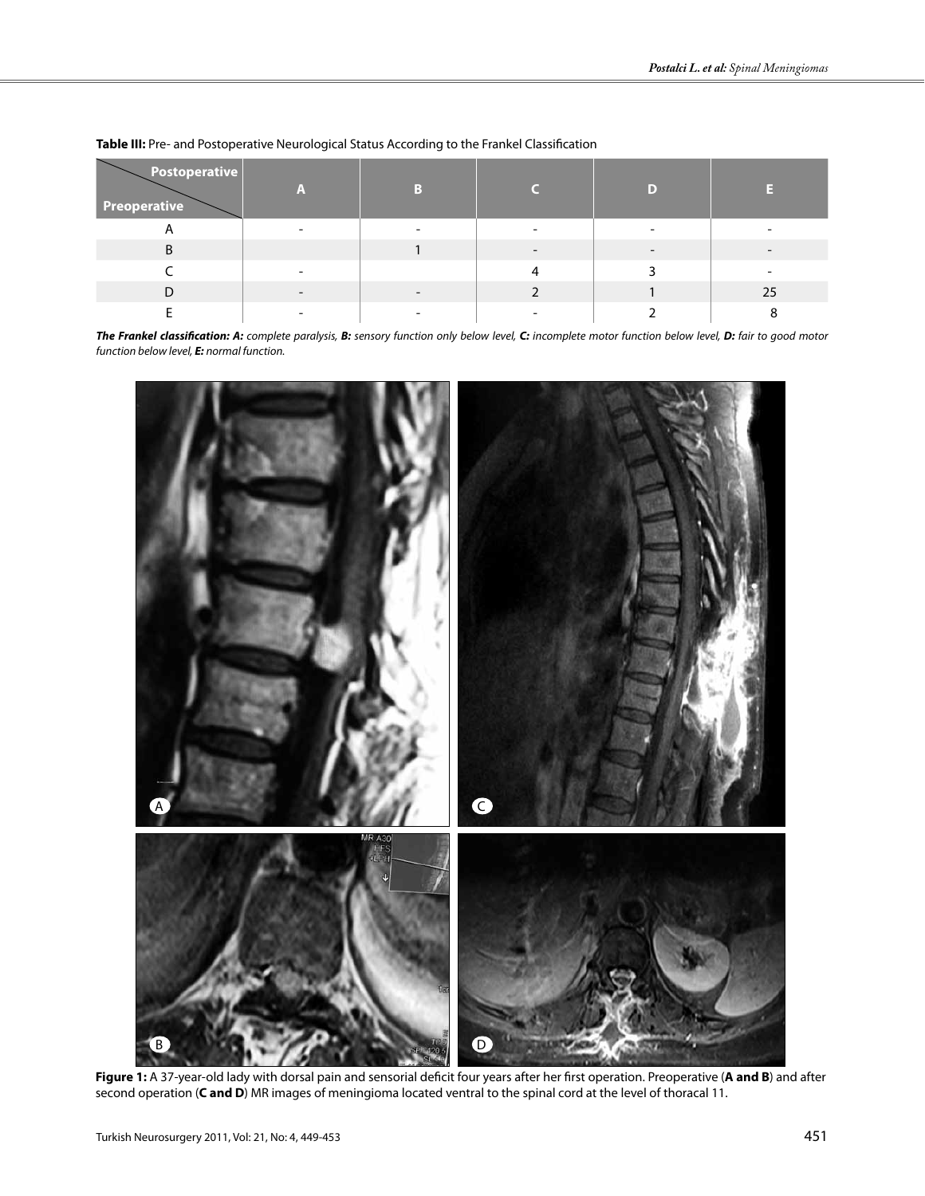| Postoperative<br><b>Preoperative</b> | A |  |    |
|--------------------------------------|---|--|----|
| n                                    |   |  |    |
| B                                    |   |  |    |
|                                      |   |  |    |
|                                      |   |  | 25 |
|                                      |   |  |    |

**Table III:** Pre- and Postoperative Neurological Status According to the Frankel Classification

*The Frankel classification: A: complete paralysis, B: sensory function only below level, C: incomplete motor function below level, D: fair to good motor function below level, E: normal function.*



**Figure 1:** A 37-year-old lady with dorsal pain and sensorial deficit four years after her first operation. Preoperative (**A and B**) and after second operation (**C and D**) MR images of meningioma located ventral to the spinal cord at the level of thoracal 11.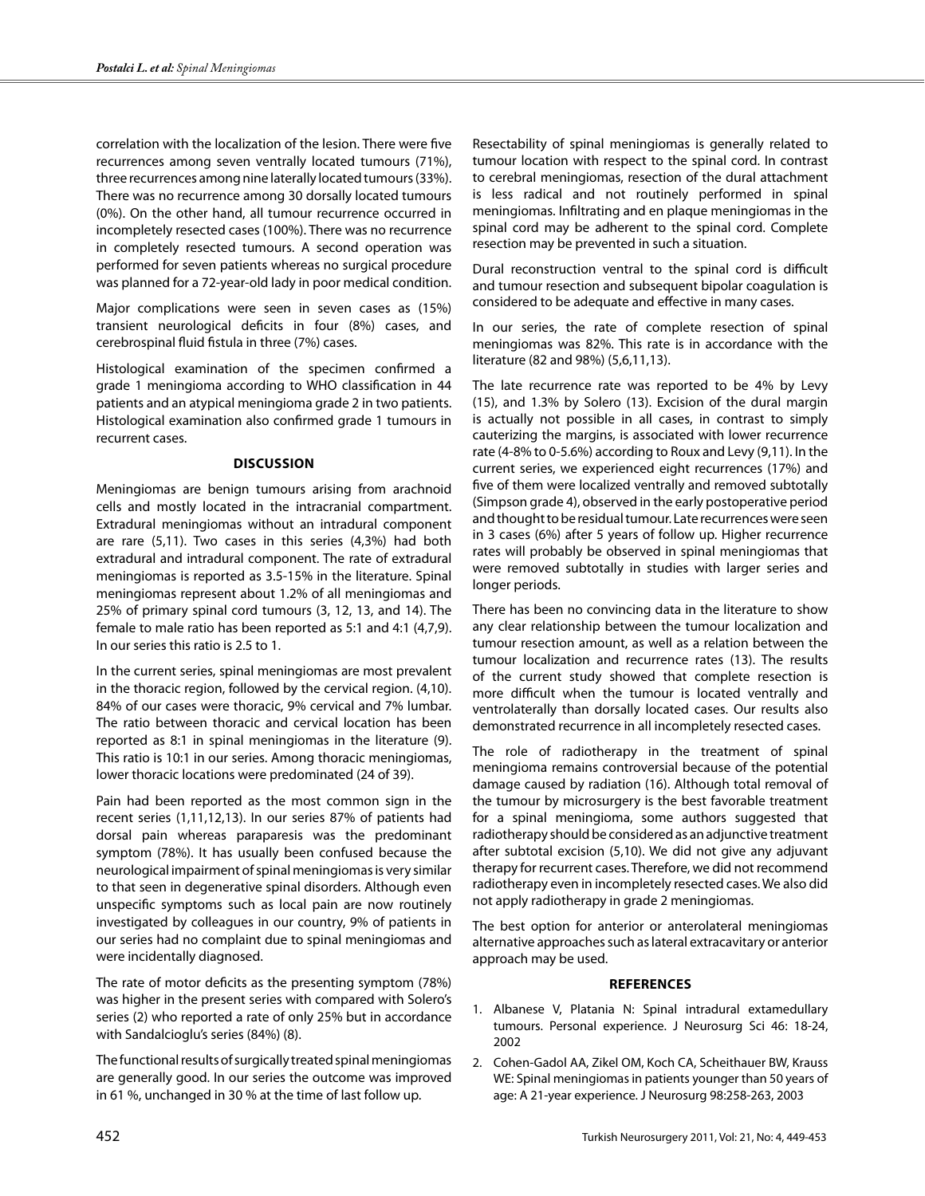correlation with the localization of the lesion. There were five recurrences among seven ventrally located tumours (71%), three recurrences among nine laterally located tumours (33%). There was no recurrence among 30 dorsally located tumours (0%). On the other hand, all tumour recurrence occurred in incompletely resected cases (100%). There was no recurrence in completely resected tumours. A second operation was performed for seven patients whereas no surgical procedure was planned for a 72-year-old lady in poor medical condition.

Major complications were seen in seven cases as (15%) transient neurological deficits in four (8%) cases, and cerebrospinal fluid fistula in three (7%) cases.

Histological examination of the specimen confirmed a grade 1 meningioma according to WHO classification in 44 patients and an atypical meningioma grade 2 in two patients. Histological examination also confirmed grade 1 tumours in recurrent cases.

#### **Discussion**

Meningiomas are benign tumours arising from arachnoid cells and mostly located in the intracranial compartment. Extradural meningiomas without an intradural component are rare (5,11). Two cases in this series (4,3%) had both extradural and intradural component. The rate of extradural meningiomas is reported as 3.5-15% in the literature. Spinal meningiomas represent about 1.2% of all meningiomas and 25% of primary spinal cord tumours (3, 12, 13, and 14). The female to male ratio has been reported as 5:1 and 4:1 (4,7,9). In our series this ratio is 2.5 to 1.

In the current series, spinal meningiomas are most prevalent in the thoracic region, followed by the cervical region. (4,10). 84% of our cases were thoracic, 9% cervical and 7% lumbar. The ratio between thoracic and cervical location has been reported as 8:1 in spinal meningiomas in the literature (9). This ratio is 10:1 in our series. Among thoracic meningiomas, lower thoracic locations were predominated (24 of 39).

Pain had been reported as the most common sign in the recent series (1,11,12,13). In our series 87% of patients had dorsal pain whereas paraparesis was the predominant symptom (78%). It has usually been confused because the neurological impairment of spinal meningiomas is very similar to that seen in degenerative spinal disorders. Although even unspecific symptoms such as local pain are now routinely investigated by colleagues in our country, 9% of patients in our series had no complaint due to spinal meningiomas and were incidentally diagnosed.

The rate of motor deficits as the presenting symptom (78%) was higher in the present series with compared with Solero's series (2) who reported a rate of only 25% but in accordance with Sandalcioglu's series (84%) (8).

The functional results of surgically treated spinal meningiomas are generally good. In our series the outcome was improved in 61 %, unchanged in 30 % at the time of last follow up.

Resectability of spinal meningiomas is generally related to tumour location with respect to the spinal cord. In contrast to cerebral meningiomas, resection of the dural attachment is less radical and not routinely performed in spinal meningiomas. Infiltrating and en plaque meningiomas in the spinal cord may be adherent to the spinal cord. Complete resection may be prevented in such a situation.

Dural reconstruction ventral to the spinal cord is difficult and tumour resection and subsequent bipolar coagulation is considered to be adequate and effective in many cases.

In our series, the rate of complete resection of spinal meningiomas was 82%. This rate is in accordance with the literature (82 and 98%) (5,6,11,13).

The late recurrence rate was reported to be 4% by Levy (15), and 1.3% by Solero (13). Excision of the dural margin is actually not possible in all cases, in contrast to simply cauterizing the margins, is associated with lower recurrence rate (4-8% to 0-5.6%) according to Roux and Levy (9,11). In the current series, we experienced eight recurrences (17%) and five of them were localized ventrally and removed subtotally (Simpson grade 4), observed in the early postoperative period and thought to be residual tumour. Late recurrences were seen in 3 cases (6%) after 5 years of follow up. Higher recurrence rates will probably be observed in spinal meningiomas that were removed subtotally in studies with larger series and longer periods.

There has been no convincing data in the literature to show any clear relationship between the tumour localization and tumour resection amount, as well as a relation between the tumour localization and recurrence rates (13). The results of the current study showed that complete resection is more difficult when the tumour is located ventrally and ventrolaterally than dorsally located cases. Our results also demonstrated recurrence in all incompletely resected cases.

The role of radiotherapy in the treatment of spinal meningioma remains controversial because of the potential damage caused by radiation (16). Although total removal of the tumour by microsurgery is the best favorable treatment for a spinal meningioma, some authors suggested that radiotherapy should be considered as an adjunctive treatment after subtotal excision (5,10). We did not give any adjuvant therapy for recurrent cases. Therefore, we did not recommend radiotherapy even in incompletely resected cases. We also did not apply radiotherapy in grade 2 meningiomas.

The best option for anterior or anterolateral meningiomas alternative approaches such as lateral extracavitary or anterior approach may be used.

# **References**

- 1. Albanese V, Platania N: Spinal intradural extamedullary tumours. Personal experience. J Neurosurg Sci 46: 18-24, 2002
- 2. Cohen-Gadol AA, Zikel OM, Koch CA, Scheithauer BW, Krauss WE: Spinal meningiomas in patients younger than 50 years of age: A 21-year experience. J Neurosurg 98:258-263, 2003